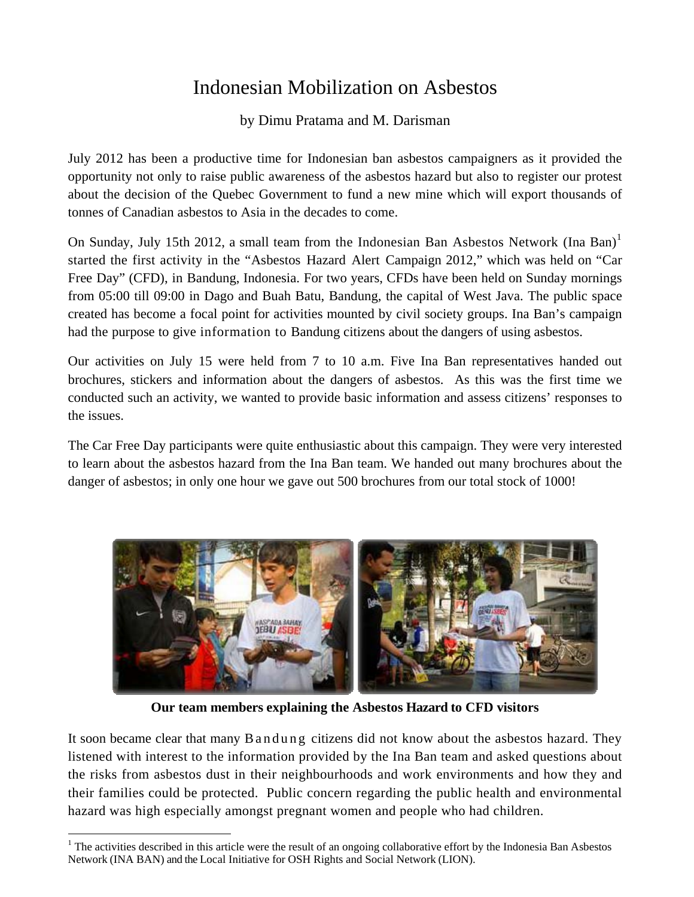## Indonesian Mobilization on Asbestos

by Dimu Pratama and M. Darisman

July 2012 has been a productive time for Indonesian ban asbestos campaigners as it provided the opportunity not only to raise public awareness of the asbestos hazard but also to register our protest about the decision of the Quebec Government to fund a new mine which will export thousands of tonnes of Canadian asbestos to Asia in the decades to come.

On Sunday, July [1](#page-0-0)5th 2012, a small team from the Indonesian Ban Asbestos Network (Ina Ban)<sup>1</sup> started the first activity in the "Asbestos Hazard Alert Campaign 2012," which was held on "Car Free Day" (CFD), in Bandung, Indonesia. For two years, CFDs have been held on Sunday mornings from 05:00 till 09:00 in Dago and Buah Batu, Bandung, the capital of West Java. The public space created has become a focal point for activities mounted by civil society groups. Ina Ban's campaign had the purpose to give information to Bandung citizens about the dangers of using asbestos.

Our activities on July 15 were held from 7 to 10 a.m. Five Ina Ban representatives handed out brochures, stickers and information about the dangers of asbestos. As this was the first time we conducted such an activity, we wanted to provide basic information and assess citizens' responses to the issues.

The Car Free Day participants were quite enthusiastic about this campaign. They were very interested to learn about the asbestos hazard from the Ina Ban team. We handed out many brochures about the danger of asbestos; in only one hour we gave out 500 brochures from our total stock of 1000!



**Our team members explaining the Asbestos Hazard to CFD visitors** 

It soon became clear that many B a n d u n g citizens did not know about the asbestos hazard. They listened with interest to the information provided by the Ina Ban team and asked questions about the risks from asbestos dust in their neighbourhoods and work environments and how they and their families could be protected. Public concern regarding the public health and environmental hazard was high especially amongst pregnant women and people who had children.

<span id="page-0-0"></span>  $1$ <sup>1</sup> The activities described in this article were the result of an ongoing collaborative effort by the Indonesia Ban Asbestos Network (INA BAN) and the Local Initiative for OSH Rights and Social Network (LION).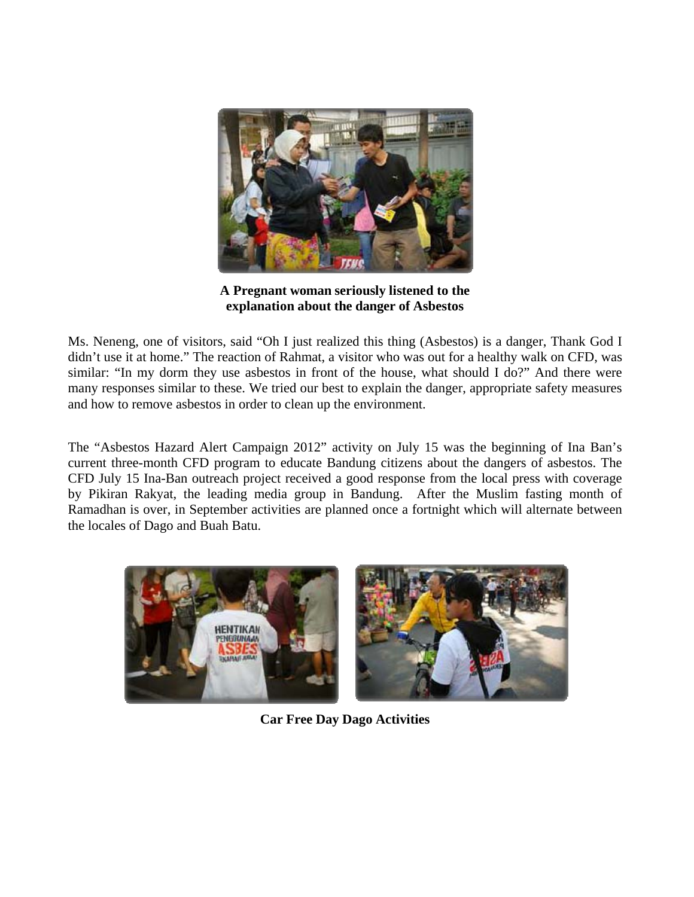

**A Pregnant woman seriously listened to the explanation about the danger of Asbestos** 

Ms. Neneng, one of visitors, said "Oh I just realized this thing (Asbestos) is a danger, Thank God I didn't use it at home." The reaction of Rahmat, a visitor who was out for a healthy walk on CFD, was similar: "In my dorm they use asbestos in front of the house, what should I do?" And there were many responses similar to these. We tried our best to explain the danger, appropriate safety measures and how to remove asbestos in order to clean up the environment.

The "Asbestos Hazard Alert Campaign 2012" activity on July 15 was the beginning of Ina Ban's current three-month CFD program to educate Bandung citizens about the dangers of asbestos. The CFD July 15 Ina-Ban outreach project received a good response from the local press with coverage by Pikiran Rakyat, the leading media group in Bandung. After the Muslim fasting month of Ramadhan is over, in September activities are planned once a fortnight which will alternate between the locales of Dago and Buah Batu.



**Car Free Day Dago Activities**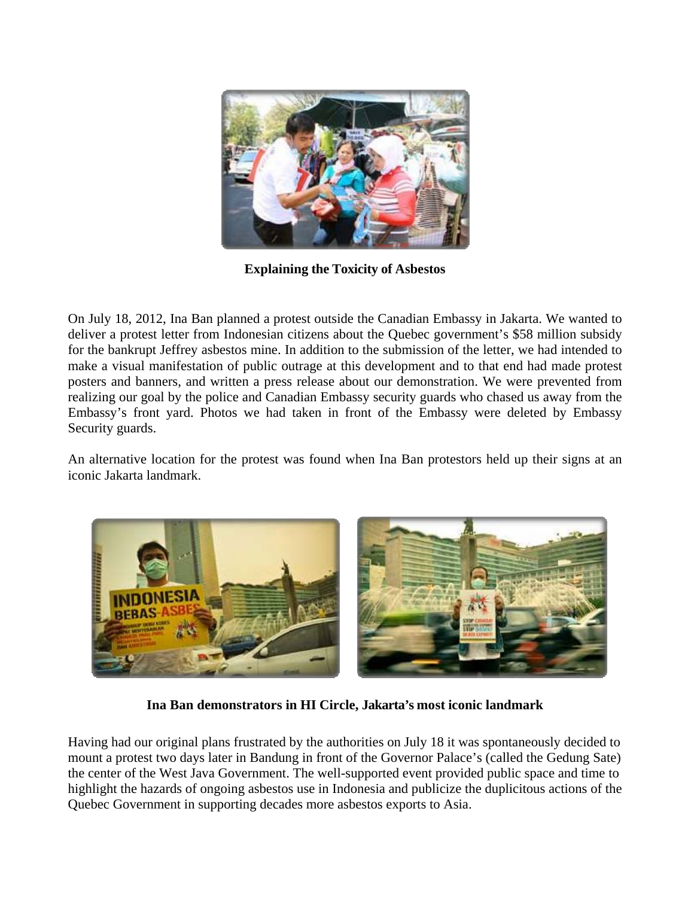

**Explaining the Toxicity of Asbestos**

On July 18, 2012, Ina Ban planned a protest outside the Canadian Embassy in Jakarta. We wanted to deliver a protest letter from Indonesian citizens about the Quebec government's \$58 million subsidy for the bankrupt Jeffrey asbestos mine. In addition to the submission of the letter, we had intended to make a visual manifestation of public outrage at this development and to that end had made protest posters and banners, and written a press release about our demonstration. We were prevented from realizing our goal by the police and Canadian Embassy security guards who chased us away from the Embassy's front yard. Photos we had taken in front of the Embassy were deleted by Embassy Security guards.

An alternative location for the protest was found when Ina Ban protestors held up their signs at an iconic Jakarta landmark.



**Ina Ban demonstrators in HI Circle, Jakarta's most iconic landmark** 

Having had our original plans frustrated by the authorities on July 18 it was spontaneously decided to mount a protest two days later in Bandung in front of the Governor Palace's (called the Gedung Sate) the center of the West Java Government. The well-supported event provided public space and time to highlight the hazards of ongoing asbestos use in Indonesia and publicize the duplicitous actions of the Quebec Government in supporting decades more asbestos exports to Asia.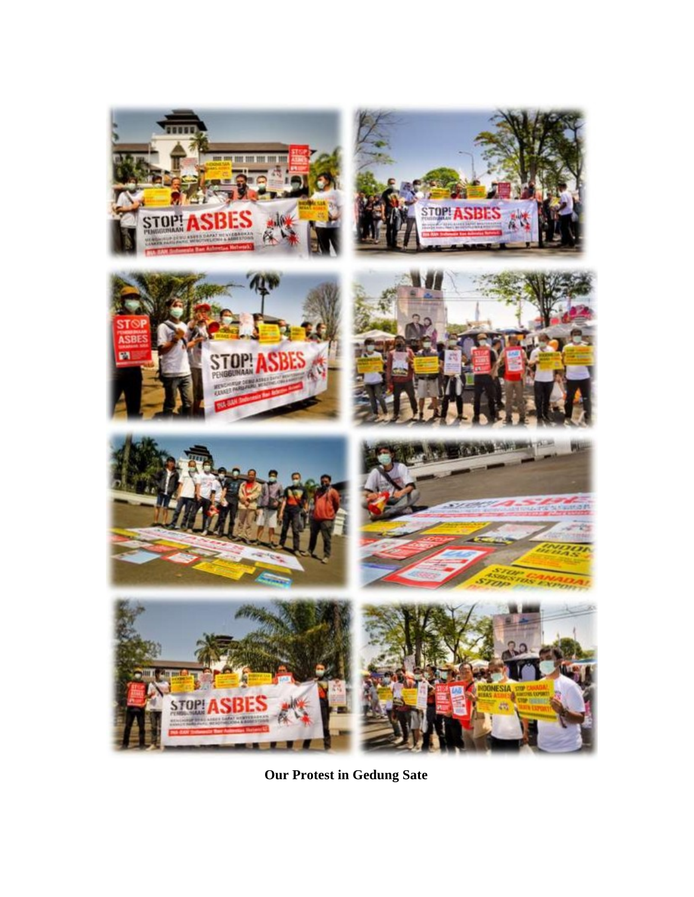

**Our Protest in Gedung Sate**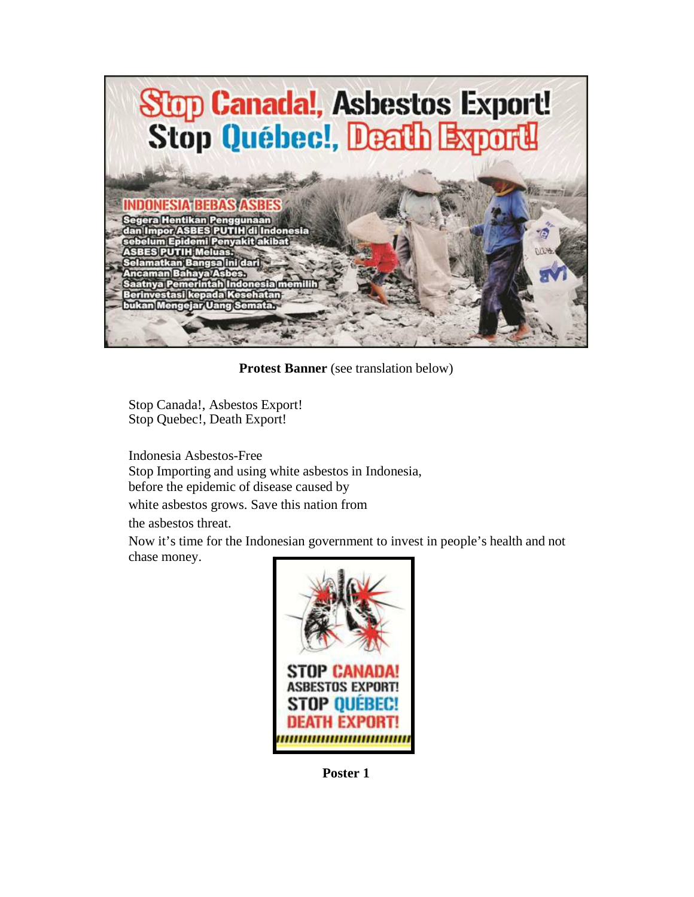

**Protest Banner** (see translation below)

Stop Canada!, Asbestos Export! Stop Quebec!, Death Export!

Indonesia Asbestos-Free Stop Importing and using white asbestos in Indonesia, before the epidemic of disease caused by

white asbestos grows. Save this nation from

the asbestos threat.

Now it's time for the Indonesian government to invest in people's health and not chase money.



**Poster 1**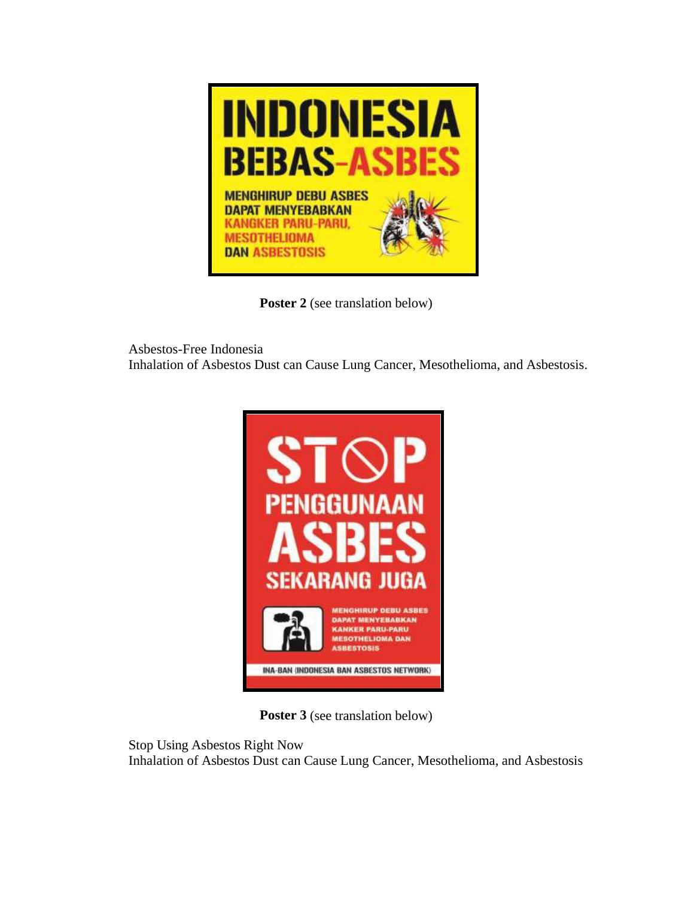

Poster 2 (see translation below)

Asbestos-Free Indonesia Inhalation of Asbestos Dust can Cause Lung Cancer, Mesothelioma, and Asbestosis.



**Poster 3** (see translation below)

Stop Using Asbestos Right Now Inhalation of Asbestos Dust can Cause Lung Cancer, Mesothelioma, and Asbestosis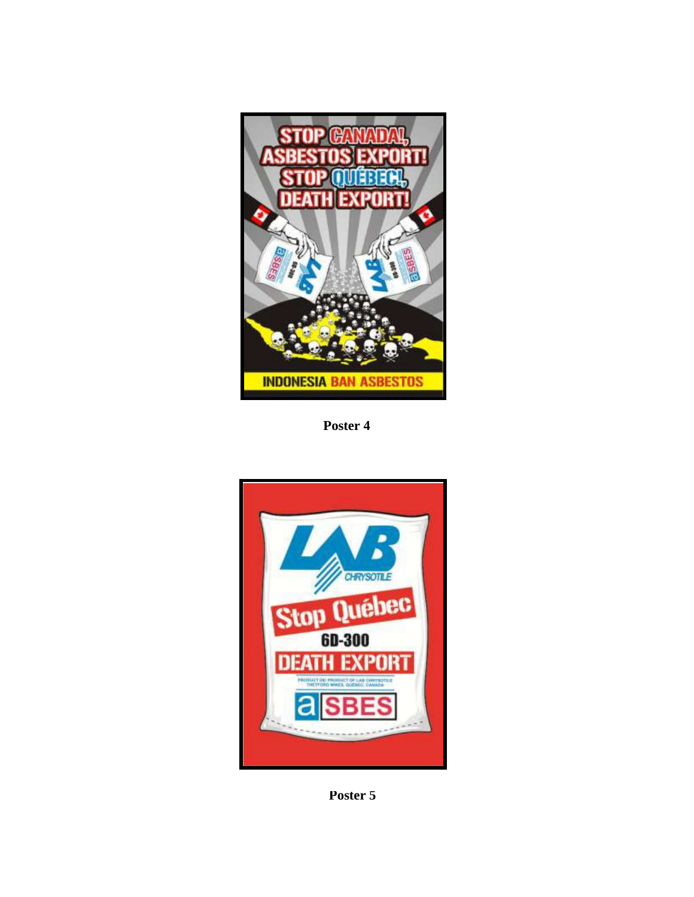

**Poster 4**



**Poster 5**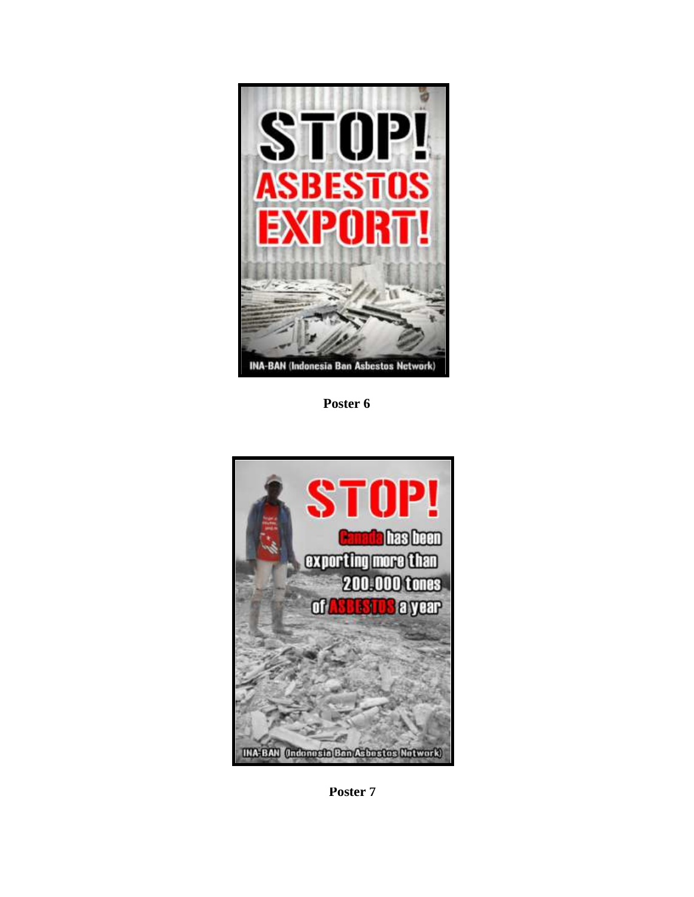

**Poster 6**



**Poster 7**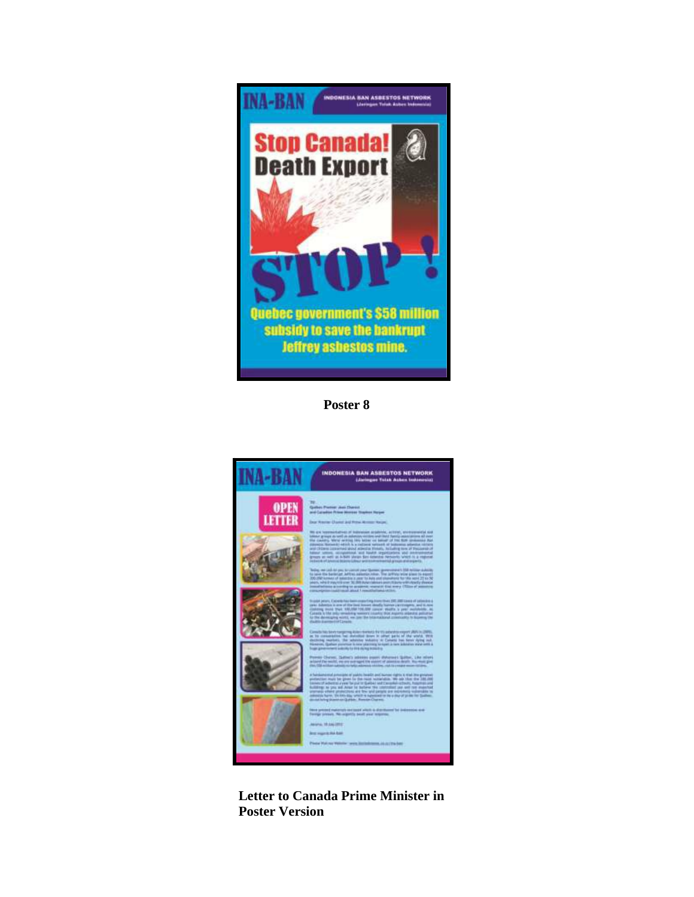

**Poster 8**



**Letter to Canada Prime Minister in Poster Version**